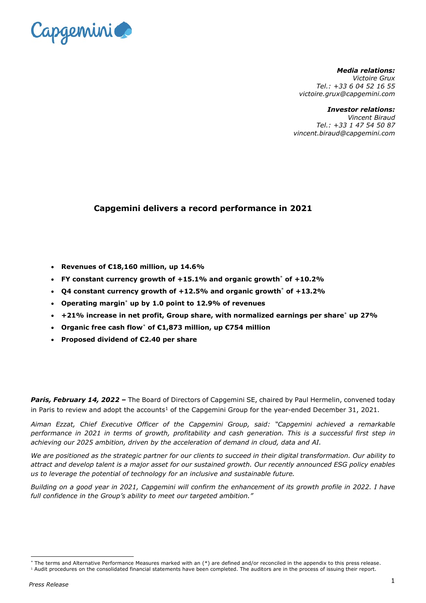

*Media relations: Victoire Grux Tel.: +33 6 04 52 16 55 victoire.grux@capgemini.com*

*Investor relations:*

*Vincent Biraud Tel.: +33 1 47 54 50 87 vincent.biraud@capgemini.com*

# **Capgemini delivers a record performance in 2021**

- **Revenues of €18,160 million, up 14.6%**
- **FY constant currency growth of +15.1% and organic growth**[\\*](#page-0-0) **of +10.2%**
- **Q4 constant currency growth of +12.5% and organic growth**[\\*](#page-0-0) **of +13.2%**
- **Operating margin**[\\*](#page-0-0) **up by 1.0 point to 12.9% of revenues**
- **+21% increase in net profit, Group share, with normalized earnings per share**[\\*](#page-0-0) **up 27%**
- <span id="page-0-0"></span>• **Organic free cash flow**[\\*](#page-0-1) **of €1,873 million, up €754 million**
- **Proposed dividend of €2.40 per share**

**Paris, February 14, 2022 –** The Board of Directors of Capgemini SE, chaired by Paul Hermelin, convened today in Paris to review and adopt the accounts<sup>[1](#page-0-2)</sup> of the Capgemini Group for the year-ended December 31, 2021.

*Aiman Ezzat, Chief Executive Officer of the Capgemini Group, said: "Capgemini achieved a remarkable performance in 2021 in terms of growth, profitability and cash generation. This is a successful first step in achieving our 2025 ambition, driven by the acceleration of demand in cloud, data and AI.* 

*We are positioned as the strategic partner for our clients to succeed in their digital transformation. Our ability to attract and develop talent is a major asset for our sustained growth. Our recently announced ESG policy enables us to leverage the potential of technology for an inclusive and sustainable future.*

*Building on a good year in 2021, Capgemini will confirm the enhancement of its growth profile in 2022. I have full confidence in the Group's ability to meet our targeted ambition."*

<sup>\*</sup> The terms and Alternative Performance Measures marked with an (\*) are defined and/or reconciled in the appendix to this press release.

<span id="page-0-2"></span><span id="page-0-1"></span><sup>&</sup>lt;sup>1</sup> Audit procedures on the consolidated financial statements have been completed. The auditors are in the process of issuing their report.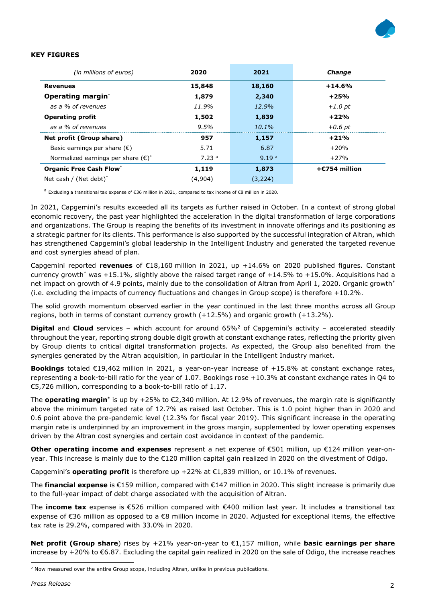

#### **KEY FIGURES**

| (in millions of euros)                       | 2020              | 2021              | <b>Change</b>       |
|----------------------------------------------|-------------------|-------------------|---------------------|
| Revenues                                     | 15,848            | 18,160            | $+14.6%$            |
| <b>Operating margin</b> *                    | 1,879             | 2,340             | $+25%$              |
| as a % of revenues                           | 11.9%             | 12.9%             | $+1.0$ pt           |
| <b>Operating profit</b>                      | 1,502             | 1,839             | $+22%$              |
| as a % of revenues                           | 9.5%              | $10.1\%$          | $+0.6$ pt           |
| Net profit (Group share)                     | 957               | 1,157             | $+21%$              |
| Basic earnings per share $(\epsilon)$        | 5.71              | 6.87              | $+20%$              |
| Normalized earnings per share $(\epsilon)^*$ | 7.23 <sup>a</sup> | 9.19 <sup>a</sup> | $+27%$              |
| <b>Organic Free Cash Flow*</b>               | 1,119             | 1,873             | $+$ $E$ 754 million |
| Net cash / (Net debt) $*$                    | (4.904)           | 3.224             |                     |

<sup>a</sup> Excluding a transitional tax expense of €36 million in 2021, compared to tax income of €8 million in 2020.

In 2021, Capgemini's results exceeded all its targets as further raised in October. In a context of strong global economic recovery, the past year highlighted the acceleration in the digital transformation of large corporations and organizations. The Group is reaping the benefits of its investment in innovate offerings and its positioning as a strategic partner for its clients. This performance is also supported by the successful integration of Altran, which has strengthened Capgemini's global leadership in the Intelligent Industry and generated the targeted revenue and cost synergies ahead of plan.

Capgemini reported **revenues** of €18,160 million in 2021, up +14.6% on 2020 published figures. Constant currency growt[h\\*](#page-0-0) was +15.1%, slightly above the raised target range of +14.5% to +15.0%. Acquisitions had a net impact on growth of 4.9 points, mainly due to the consolidation of Altran from April 1, 2020. Organic growt[h\\*](#page-0-0) (i.e. excluding the impacts of currency fluctuations and changes in Group scope) is therefore +10.2%.

The solid growth momentum observed earlier in the year continued in the last three months across all Group regions, both in terms of constant currency growth (+12.5%) and organic growth (+13.2%).

**Digital** and **Cloud** services – which account for around 65%[2](#page-1-0) of Capgemini's activity – accelerated steadily throughout the year, reporting strong double digit growth at constant exchange rates, reflecting the priority given by Group clients to critical digital transformation projects. As expected, the Group also benefited from the synergies generated by the Altran acquisition, in particular in the Intelligent Industry market.

**Bookings** totaled €19,462 million in 2021, a year-on-year increase of +15.8% at constant exchange rates, representing a book-to-bill ratio for the year of 1.07. Bookings rose +10.3% at constant exchange rates in Q4 to €5,726 million, corresponding to a book-to-bill ratio of 1.17.

The **operating margin**[\\*](#page-0-0) is up by +25% to €2,340 million. At 12.9% of revenues, the margin rate is significantly above the minimum targeted rate of 12.7% as raised last October. This is 1.0 point higher than in 2020 and 0.6 point above the pre-pandemic level (12.3% for fiscal year 2019). This significant increase in the operating margin rate is underpinned by an improvement in the gross margin, supplemented by lower operating expenses driven by the Altran cost synergies and certain cost avoidance in context of the pandemic.

**Other operating income and expenses** represent a net expense of €501 million, up €124 million year-onyear. This increase is mainly due to the €120 million capital gain realized in 2020 on the divestment of Odigo.

Capgemini's **operating profit** is therefore up  $+22\%$  at  $\epsilon$ 1,839 million, or 10.1% of revenues.

The **financial expense** is €159 million, compared with €147 million in 2020. This slight increase is primarily due to the full-year impact of debt charge associated with the acquisition of Altran.

The **income tax** expense is €526 million compared with €400 million last year. It includes a transitional tax expense of €36 million as opposed to a €8 million income in 2020. Adjusted for exceptional items, the effective tax rate is 29.2%, compared with 33.0% in 2020.

**Net profit (Group share**) rises by +21% year-on-year to €1,157 million, while **basic earnings per share** increase by +20% to €6.87. Excluding the capital gain realized in 2020 on the sale of Odigo, the increase reaches

<span id="page-1-0"></span><sup>&</sup>lt;sup>2</sup> Now measured over the entire Group scope, including Altran, unlike in previous publications.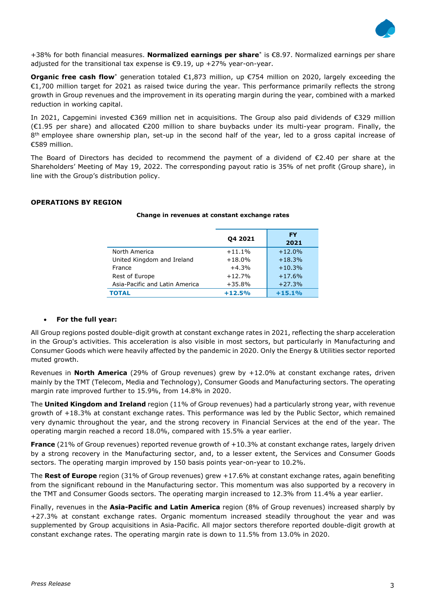

+38% for both financial measures. **Normalized earnings per share**[\\*](#page-0-0) is €8.97. Normalized earnings per share adjusted for the transitional tax expense is €9.19, up +27% year-on-year.

**Organic free cash flow**[\\*](#page-0-0) generation totaled €1,873 million, up €754 million on 2020, largely exceeding the €1,700 million target for 2021 as raised twice during the year. This performance primarily reflects the strong growth in Group revenues and the improvement in its operating margin during the year, combined with a marked reduction in working capital.

In 2021, Capgemini invested €369 million net in acquisitions. The Group also paid dividends of €329 million (€1.95 per share) and allocated €200 million to share buybacks under its multi-year program. Finally, the 8<sup>th</sup> employee share ownership plan, set-up in the second half of the year, led to a gross capital increase of €589 million.

The Board of Directors has decided to recommend the payment of a dividend of €2.40 per share at the Shareholders' Meeting of May 19, 2022. The corresponding payout ratio is 35% of net profit (Group share), in line with the Group's distribution policy.

## **OPERATIONS BY REGION**

|                                | 04 2021  | <b>FY</b><br>2021 |
|--------------------------------|----------|-------------------|
| North America                  | $+11.1%$ | $+12.0%$          |
| United Kingdom and Ireland     | $+18.0%$ | $+18.3%$          |
| France                         | $+4.3%$  | $+10.3%$          |
| Rest of Europe                 | $+12.7%$ | $+17.6%$          |
| Asia-Pacific and Latin America | $+35.8%$ | $+27.3%$          |
| <b>TOTAL</b>                   | $+12.5%$ | $+15.1%$          |

#### **Change in revenues at constant exchange rates**

## • **For the full year:**

All Group regions posted double-digit growth at constant exchange rates in 2021, reflecting the sharp acceleration in the Group's activities. This acceleration is also visible in most sectors, but particularly in Manufacturing and Consumer Goods which were heavily affected by the pandemic in 2020. Only the Energy & Utilities sector reported muted growth.

Revenues in **North America** (29% of Group revenues) grew by +12.0% at constant exchange rates, driven mainly by the TMT (Telecom, Media and Technology), Consumer Goods and Manufacturing sectors. The operating margin rate improved further to 15.9%, from 14.8% in 2020.

The **United Kingdom and Ireland** region (11% of Group revenues) had a particularly strong year, with revenue growth of +18.3% at constant exchange rates. This performance was led by the Public Sector, which remained very dynamic throughout the year, and the strong recovery in Financial Services at the end of the year. The operating margin reached a record 18.0%, compared with 15.5% a year earlier.

**France** (21% of Group revenues) reported revenue growth of +10.3% at constant exchange rates, largely driven by a strong recovery in the Manufacturing sector, and, to a lesser extent, the Services and Consumer Goods sectors. The operating margin improved by 150 basis points year-on-year to 10.2%.

The **Rest of Europe** region (31% of Group revenues) grew +17.6% at constant exchange rates, again benefiting from the significant rebound in the Manufacturing sector. This momentum was also supported by a recovery in the TMT and Consumer Goods sectors. The operating margin increased to 12.3% from 11.4% a year earlier.

Finally, revenues in the **Asia-Pacific and Latin America** region (8% of Group revenues) increased sharply by +27.3% at constant exchange rates. Organic momentum increased steadily throughout the year and was supplemented by Group acquisitions in Asia-Pacific. All major sectors therefore reported double-digit growth at constant exchange rates. The operating margin rate is down to 11.5% from 13.0% in 2020.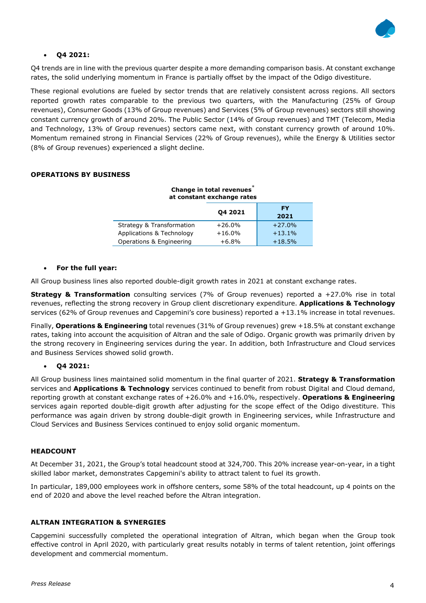

## • **Q4 2021:**

Q4 trends are in line with the previous quarter despite a more demanding comparison basis. At constant exchange rates, the solid underlying momentum in France is partially offset by the impact of the Odigo divestiture.

These regional evolutions are fueled by sector trends that are relatively consistent across regions. All sectors reported growth rates comparable to the previous two quarters, with the Manufacturing (25% of Group revenues), Consumer Goods (13% of Group revenues) and Services (5% of Group revenues) sectors still showing constant currency growth of around 20%. The Public Sector (14% of Group revenues) and TMT (Telecom, Media and Technology, 13% of Group revenues) sectors came next, with constant currency growth of around 10%. Momentum remained strong in Financial Services (22% of Group revenues), while the Energy & Utilities sector (8% of Group revenues) experienced a slight decline.

## **OPERATIONS BY BUSINESS**

| Change in total revenues<br>at constant exchange rates |          |            |  |
|--------------------------------------------------------|----------|------------|--|
|                                                        | 04 2021  | FY<br>2021 |  |
| <b>Strategy &amp; Transformation</b>                   | $+26.0%$ | $+27.0%$   |  |
| Applications & Technology                              | $+16.0%$ | $+13.1%$   |  |
| Operations & Engineering                               | $+6.8%$  | $+18.5%$   |  |

#### • **For the full year:**

All Group business lines also reported double-digit growth rates in 2021 at constant exchange rates.

**Strategy & Transformation** consulting services (7% of Group revenues) reported a +27.0% rise in total revenues, reflecting the strong recovery in Group client discretionary expenditure. **Applications & Technology**  services (62% of Group revenues and Capgemini's core business) reported a +13.1% increase in total revenues.

Finally, **Operations & Engineering** total revenues (31% of Group revenues) grew +18.5% at constant exchange rates, taking into account the acquisition of Altran and the sale of Odigo. Organic growth was primarily driven by the strong recovery in Engineering services during the year. In addition, both Infrastructure and Cloud services and Business Services showed solid growth.

## • **Q4 2021:**

All Group business lines maintained solid momentum in the final quarter of 2021. **Strategy & Transformation**  services and **Applications & Technology** services continued to benefit from robust Digital and Cloud demand, reporting growth at constant exchange rates of +26.0% and +16.0%, respectively. **Operations & Engineering**  services again reported double-digit growth after adjusting for the scope effect of the Odigo divestiture. This performance was again driven by strong double-digit growth in Engineering services, while Infrastructure and Cloud Services and Business Services continued to enjoy solid organic momentum.

## **HEADCOUNT**

At December 31, 2021, the Group's total headcount stood at 324,700. This 20% increase year-on-year, in a tight skilled labor market, demonstrates Capgemini's ability to attract talent to fuel its growth.

In particular, 189,000 employees work in offshore centers, some 58% of the total headcount, up 4 points on the end of 2020 and above the level reached before the Altran integration.

#### **ALTRAN INTEGRATION & SYNERGIES**

Capgemini successfully completed the operational integration of Altran, which began when the Group took effective control in April 2020, with particularly great results notably in terms of talent retention, joint offerings development and commercial momentum.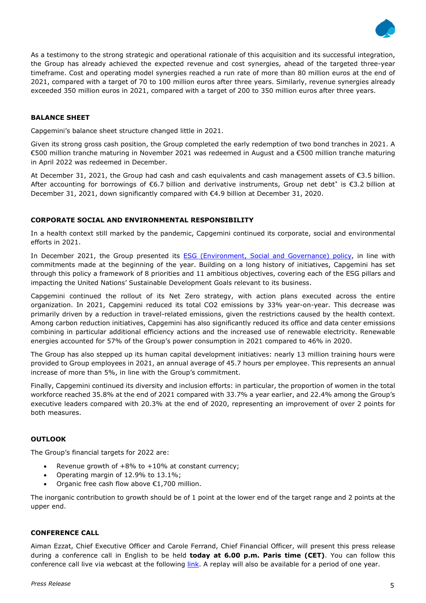

As a testimony to the strong strategic and operational rationale of this acquisition and its successful integration, the Group has already achieved the expected revenue and cost synergies, ahead of the targeted three-year timeframe. Cost and operating model synergies reached a run rate of more than 80 million euros at the end of 2021, compared with a target of 70 to 100 million euros after three years. Similarly, revenue synergies already exceeded 350 million euros in 2021, compared with a target of 200 to 350 million euros after three years.

## **BALANCE SHEET**

Capgemini's balance sheet structure changed little in 2021.

Given its strong gross cash position, the Group completed the early redemption of two bond tranches in 2021. A €500 million tranche maturing in November 2021 was redeemed in August and a €500 million tranche maturing in April 2022 was redeemed in December.

At December 31, 2021, the Group had cash and cash equivalents and cash management assets of €3.5 billion. After accounting for borrowings of €6.7 billion and derivative instruments, Group net deb[t\\*](#page-0-0) is €3.2 billion at December 31, 2021, down significantly compared with €4.9 billion at December 31, 2020.

### **CORPORATE SOCIAL AND ENVIRONMENTAL RESPONSIBILITY**

In a health context still marked by the pandemic, Capgemini continued its corporate, social and environmental efforts in 2021.

In December 2021, the Group presented its [ESG \(Environment, Social and Governance\) policy,](https://investors.capgemini.com/en/esg-policy/) in line with commitments made at the beginning of the year. Building on a long history of initiatives, Capgemini has set through this policy a framework of 8 priorities and 11 ambitious objectives, covering each of the ESG pillars and impacting the United Nations' Sustainable Development Goals relevant to its business.

Capgemini continued the rollout of its Net Zero strategy, with action plans executed across the entire organization. In 2021, Capgemini reduced its total CO2 emissions by 33% year-on-year. This decrease was primarily driven by a reduction in travel-related emissions, given the restrictions caused by the health context. Among carbon reduction initiatives, Capgemini has also significantly reduced its office and data center emissions combining in particular additional efficiency actions and the increased use of renewable electricity. Renewable energies accounted for 57% of the Group's power consumption in 2021 compared to 46% in 2020.

The Group has also stepped up its human capital development initiatives: nearly 13 million training hours were provided to Group employees in 2021, an annual average of 45.7 hours per employee. This represents an annual increase of more than 5%, in line with the Group's commitment.

Finally, Capgemini continued its diversity and inclusion efforts: in particular, the proportion of women in the total workforce reached 35.8% at the end of 2021 compared with 33.7% a year earlier, and 22.4% among the Group's executive leaders compared with 20.3% at the end of 2020, representing an improvement of over 2 points for both measures.

## **OUTLOOK**

The Group's financial targets for 2022 are:

- Revenue growth of  $+8\%$  to  $+10\%$  at constant currency;
- Operating margin of 12.9% to 13.1%;
- Organic free cash flow above €1,700 million.

The inorganic contribution to growth should be of 1 point at the lower end of the target range and 2 points at the upper end.

#### **CONFERENCE CALL**

Aiman Ezzat, Chief Executive Officer and Carole Ferrand, Chief Financial Officer, will present this press release during a conference call in English to be held **today at 6.00 p.m. Paris time (CET)**. You can follow this conference call live via webcast at the following [link.](https://edge.media-server.com/mmc/p/wmjwtrsf) A replay will also be available for a period of one year.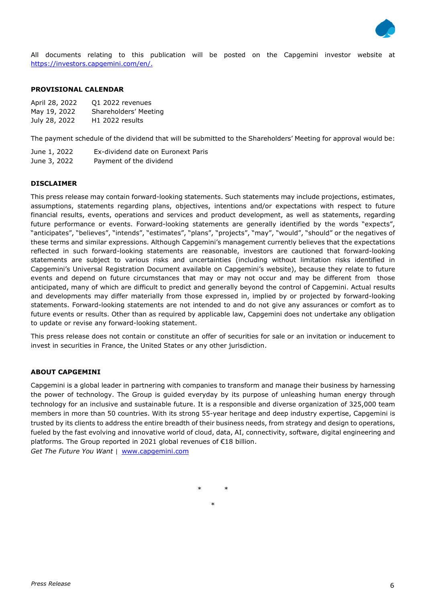

All documents relating to this publication will be posted on the Capgemini investor website at [https://investors.capgemini.com/en/.](https://investors.capgemini.com/en/)

#### **PROVISIONAL CALENDAR**

| April 28, 2022 | 01 2022 revenues            |
|----------------|-----------------------------|
| May 19, 2022   | Shareholders' Meeting       |
| July 28, 2022  | H <sub>1</sub> 2022 results |

The payment schedule of the dividend that will be submitted to the Shareholders' Meeting for approval would be:

June 1, 2022 Ex-dividend date on Euronext Paris

June 3, 2022 Payment of the dividend

## **DISCLAIMER**

This press release may contain forward-looking statements. Such statements may include projections, estimates, assumptions, statements regarding plans, objectives, intentions and/or expectations with respect to future financial results, events, operations and services and product development, as well as statements, regarding future performance or events. Forward-looking statements are generally identified by the words "expects", "anticipates", "believes", "intends", "estimates", "plans", "projects", "may", "would", "should" or the negatives of these terms and similar expressions. Although Capgemini's management currently believes that the expectations reflected in such forward-looking statements are reasonable, investors are cautioned that forward-looking statements are subject to various risks and uncertainties (including without limitation risks identified in Capgemini's Universal Registration Document available on Capgemini's website), because they relate to future events and depend on future circumstances that may or may not occur and may be different from those anticipated, many of which are difficult to predict and generally beyond the control of Capgemini. Actual results and developments may differ materially from those expressed in, implied by or projected by forward-looking statements. Forward-looking statements are not intended to and do not give any assurances or comfort as to future events or results. Other than as required by applicable law, Capgemini does not undertake any obligation to update or revise any forward-looking statement.

This press release does not contain or constitute an offer of securities for sale or an invitation or inducement to invest in securities in France, the United States or any other jurisdiction.

### **ABOUT CAPGEMINI**

Capgemini is a global leader in partnering with companies to transform and manage their business by harnessing the power of technology. The Group is guided everyday by its purpose of unleashing human energy through technology for an inclusive and sustainable future. It is a responsible and diverse organization of 325,000 team members in more than 50 countries. With its strong 55-year heritage and deep industry expertise, Capgemini is trusted by its clients to address the entire breadth of their business needs, from strategy and design to operations, fueled by the fast evolving and innovative world of cloud, data, AI, connectivity, software, digital engineering and platforms. The Group reported in 2021 global revenues of €18 billion. *Get The Future You Want* | [www.capgemini.com](http://www.capgemini.com/#_blank)

\* \*

\*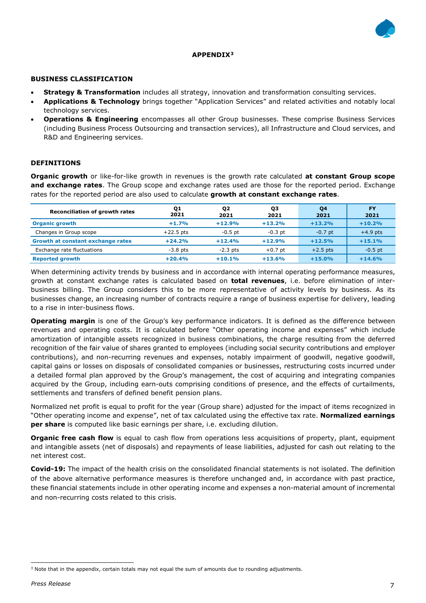

#### **APPENDIX[3](#page-6-0)**

#### **BUSINESS CLASSIFICATION**

- **Strategy & Transformation** includes all strategy, innovation and transformation consulting services.
- **Applications & Technology** brings together "Application Services" and related activities and notably local technology services.
- **Operations & Engineering** encompasses all other Group businesses. These comprise Business Services (including Business Process Outsourcing and transaction services), all Infrastructure and Cloud services, and R&D and Engineering services.

### **DEFINITIONS**

**Organic growth** or like-for-like growth in revenues is the growth rate calculated **at constant Group scope and exchange rates**. The Group scope and exchange rates used are those for the reported period. Exchange rates for the reported period are also used to calculate **growth at constant exchange rates**.

| <b>Reconciliation of growth rates</b> | Q1<br>2021  | Q <sub>2</sub><br>2021 | QЗ<br>2021 | Q4<br>2021 | <b>FY</b><br>2021 |
|---------------------------------------|-------------|------------------------|------------|------------|-------------------|
| <b>Organic growth</b>                 | $+1.7%$     | $+12.9%$               | $+13.2%$   | $+13.2%$   | $+10.2%$          |
| Changes in Group scope                | $+22.5$ pts | $-0.5$ pt              | $-0.3$ pt  | $-0.7$ pt  | $+4.9$ pts        |
| Growth at constant exchange rates     | $+24.2%$    | $+12.4%$               | $+12.9%$   | $+12.5%$   | $+15.1%$          |
| Exchange rate fluctuations            | $-3.8$ pts  | $-2.3$ pts             | $+0.7$ pt  | $+2.5$ pts | $-0.5$ pt         |
| <b>Reported growth</b>                | $+20.4%$    | $+10.1%$               | $+13.6%$   | $+15.0%$   | $+14.6%$          |

When determining activity trends by business and in accordance with internal operating performance measures, growth at constant exchange rates is calculated based on **total revenues**, i.e. before elimination of interbusiness billing. The Group considers this to be more representative of activity levels by business. As its businesses change, an increasing number of contracts require a range of business expertise for delivery, leading to a rise in inter-business flows.

**Operating margin** is one of the Group's key performance indicators. It is defined as the difference between revenues and operating costs. It is calculated before "Other operating income and expenses" which include amortization of intangible assets recognized in business combinations, the charge resulting from the deferred recognition of the fair value of shares granted to employees (including social security contributions and employer contributions), and non-recurring revenues and expenses, notably impairment of goodwill, negative goodwill, capital gains or losses on disposals of consolidated companies or businesses, restructuring costs incurred under a detailed formal plan approved by the Group's management, the cost of acquiring and integrating companies acquired by the Group, including earn-outs comprising conditions of presence, and the effects of curtailments, settlements and transfers of defined benefit pension plans.

Normalized net profit is equal to profit for the year (Group share) adjusted for the impact of items recognized in "Other operating income and expense", net of tax calculated using the effective tax rate. **Normalized earnings per share** is computed like basic earnings per share, i.e. excluding dilution.

**Organic free cash flow** is equal to cash flow from operations less acquisitions of property, plant, equipment and intangible assets (net of disposals) and repayments of lease liabilities, adjusted for cash out relating to the net interest cost.

**Covid-19:** The impact of the health crisis on the consolidated financial statements is not isolated. The definition of the above alternative performance measures is therefore unchanged and, in accordance with past practice, these financial statements include in other operating income and expenses a non-material amount of incremental and non-recurring costs related to this crisis.

<span id="page-6-0"></span><sup>3</sup> Note that in the appendix, certain totals may not equal the sum of amounts due to rounding adjustments.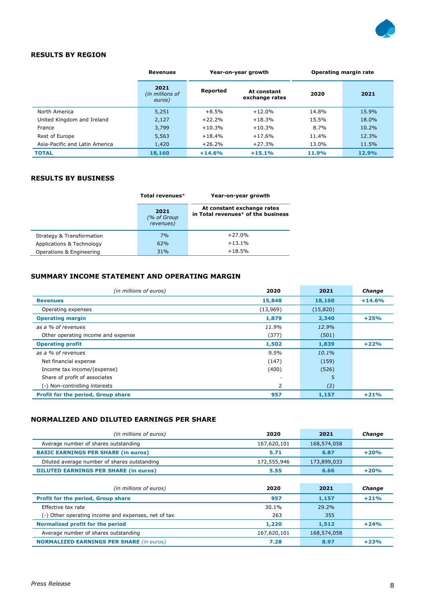

## **RESULTS BY REGION**

|                                | <b>Revenues</b>                   | Year-on-year growth |                               |       | <b>Operating margin rate</b> |
|--------------------------------|-----------------------------------|---------------------|-------------------------------|-------|------------------------------|
|                                | 2021<br>(in millions of<br>euros) | Reported            | At constant<br>exchange rates | 2020  | 2021                         |
| North America                  | 5,251                             | $+8.5%$             | $+12.0%$                      | 14.8% | 15.9%                        |
| United Kingdom and Ireland     | 2,127                             | $+22.2%$            | $+18.3%$                      | 15.5% | 18.0%                        |
| France                         | 3,799                             | $+10.3%$            | $+10.3%$                      | 8.7%  | 10.2%                        |
| Rest of Europe                 | 5,563                             | $+18.4%$            | $+17.6%$                      | 11.4% | 12.3%                        |
| Asia-Pacific and Latin America | 1,420                             | $+26.2%$            | $+27.3%$                      | 13.0% | 11.5%                        |
| <b>TOTAL</b>                   | 18,160                            | $+14.6%$            | $+15.1%$                      | 11.9% | 12.9%                        |

## **RESULTS BY BUSINESS**

|                           | Total revenues*                  | Year-on-year growth                                              |
|---------------------------|----------------------------------|------------------------------------------------------------------|
|                           | 2021<br>(% of Group<br>revenues) | At constant exchange rates<br>in Total revenues* of the business |
| Strategy & Transformation | 7%                               | $+27.0%$                                                         |
| Applications & Technology | 62%                              | $+13.1%$                                                         |
| Operations & Engineering  | 31%                              | $+18.5%$                                                         |

## **SUMMARY INCOME STATEMENT AND OPERATING MARGIN**

| (in millions of euros)                    | 2020     | 2021     | Change   |
|-------------------------------------------|----------|----------|----------|
| <b>Revenues</b>                           | 15,848   | 18,160   | $+14.6%$ |
| Operating expenses                        | (13,969) | (15,820) |          |
| <b>Operating margin</b>                   | 1,879    | 2,340    | $+25%$   |
| as a % of revenues                        | 11.9%    | 12.9%    |          |
| Other operating income and expense        | (377)    | (501)    |          |
| <b>Operating profit</b>                   | 1,502    | 1,839    | $+22%$   |
| as a % of revenues                        | 9.5%     | $10.1\%$ |          |
| Net financial expense                     | (147)    | (159)    |          |
| Income tax income/(expense)               | (400)    | (526)    |          |
| Share of profit of associates             |          | 5        |          |
| (-) Non-controlling interests             | 2        | (2)      |          |
| <b>Profit for the period, Group share</b> | 957      | 1,157    | $+21%$   |

# **NORMALIZED AND DILUTED EARNINGS PER SHARE**

| (in millions of euros)                              | 2020        | 2021        | Change |
|-----------------------------------------------------|-------------|-------------|--------|
| Average number of shares outstanding                | 167,620,101 | 168,574,058 |        |
| <b>BASIC EARNINGS PER SHARE (in euros)</b>          | 5.71        | 6.87        | $+20%$ |
| Diluted average number of shares outstanding        | 172,555,946 | 173,899,033 |        |
| <b>DILUTED EARNINGS PER SHARE (in euros)</b>        | 5.55        | 6.66        | $+20%$ |
|                                                     |             |             |        |
| (in millions of euros)                              | 2020        | 2021        | Change |
| <b>Profit for the period, Group share</b>           | 957         | 1,157       | $+21%$ |
| Effective tax rate                                  | 30.1%       | 29.2%       |        |
| (-) Other operating income and expenses, net of tax | 263         | 355         |        |
| Normalized profit for the period                    | 1,220       | 1,512       | $+24%$ |
| Average number of shares outstanding                | 167,620,101 | 168,574,058 |        |
| <b>NORMALIZED EARNINGS PER SHARE (in euros)</b>     | 7.28        | 8.97        | $+23%$ |